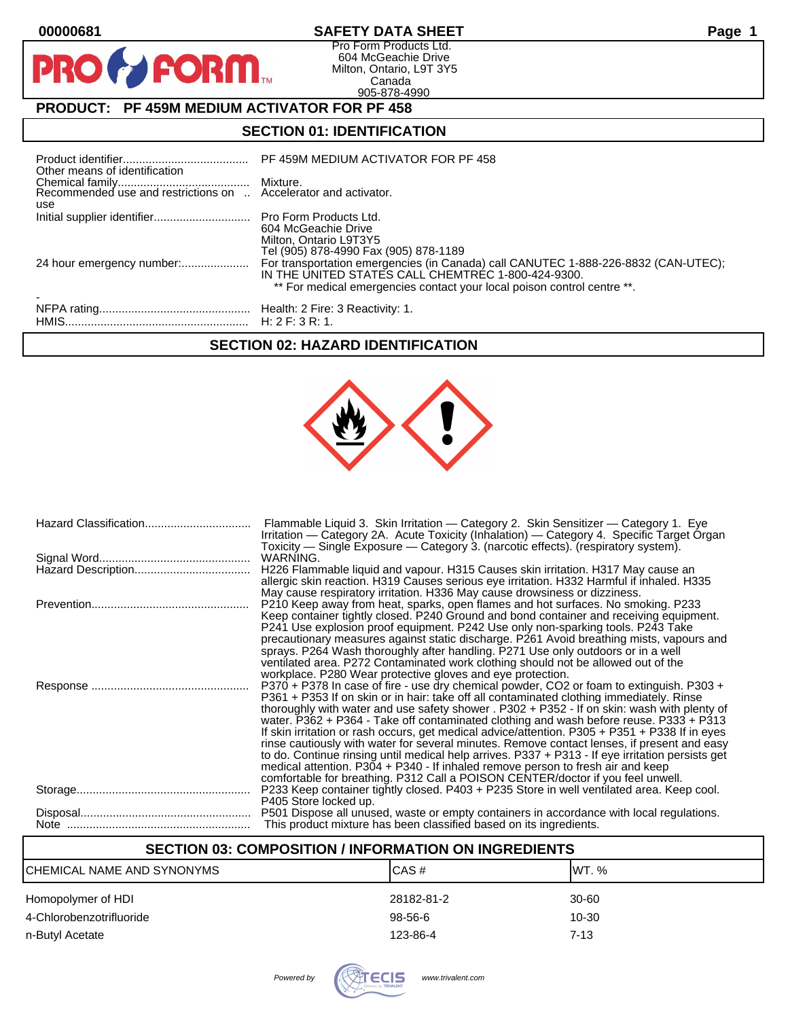$\bullet$ 

PR

## **00000681 SAFETY DATA SHEET Page 1**

Pro Form Products Ltd. 604 McGeachie Drive Milton, Ontario, L9T 3Y5 Canada 905-878-4990

# **PRODUCT: PF 459M MEDIUM ACTIVATOR FOR PF 458**

**FORM** 

## **SECTION 01: IDENTIFICATION**

| Other means of identification                                          | PF 459M MEDIUM ACTIVATOR FOR PF 458                                                                                                                                                                                 |
|------------------------------------------------------------------------|---------------------------------------------------------------------------------------------------------------------------------------------------------------------------------------------------------------------|
| Recommended use and restrictions on  Accelerator and activator.<br>use |                                                                                                                                                                                                                     |
| Initial supplier identifier Pro Form Products Ltd.                     | 604 McGeachie Drive<br>Milton, Ontario L9T3Y5<br>Tel (905) 878-4990 Fax (905) 878-1189                                                                                                                              |
| 24 hour emergency number:                                              | For transportation emergencies (in Canada) call CANUTEC 1-888-226-8832 (CAN-UTEC);<br>IN THE UNITED STATES CALL CHEMTREC 1-800-424-9300.<br>** For medical emergencies contact your local poison control centre **. |
|                                                                        |                                                                                                                                                                                                                     |

### **SECTION 02: HAZARD IDENTIFICATION**



| Flammable Liquid 3. Skin Irritation - Category 2. Skin Sensitizer - Category 1. Eye<br>Irritation — Category 2A. Acute Toxicity (Inhalation) — Category 4. Specific Target Organ<br>Toxicity — Single Exposure — Category 3. (narcotic effects). (respiratory system).                                                                                                                                                                                                                                                                                                                                                                                                                                                                                                                                                                                   |
|----------------------------------------------------------------------------------------------------------------------------------------------------------------------------------------------------------------------------------------------------------------------------------------------------------------------------------------------------------------------------------------------------------------------------------------------------------------------------------------------------------------------------------------------------------------------------------------------------------------------------------------------------------------------------------------------------------------------------------------------------------------------------------------------------------------------------------------------------------|
| WARNING.                                                                                                                                                                                                                                                                                                                                                                                                                                                                                                                                                                                                                                                                                                                                                                                                                                                 |
| H226 Flammable liquid and vapour. H315 Causes skin irritation. H317 May cause an<br>allergic skin reaction. H319 Causes serious eye irritation. H332 Harmful if inhaled. H335<br>May cause respiratory irritation. H336 May cause drowsiness or dizziness.                                                                                                                                                                                                                                                                                                                                                                                                                                                                                                                                                                                               |
| P210 Keep away from heat, sparks, open flames and hot surfaces. No smoking. P233<br>Keep container tightly closed. P240 Ground and bond container and receiving equipment.<br>P241 Use explosion proof equipment. P242 Use only non-sparking tools. P243 Take<br>precautionary measures against static discharge. P261 Avoid breathing mists, vapours and<br>sprays. P264 Wash thoroughly after handling. P271 Use only outdoors or in a well<br>ventilated area. P272 Contaminated work clothing should not be allowed out of the                                                                                                                                                                                                                                                                                                                       |
| workplace. P280 Wear protective gloves and eye protection.                                                                                                                                                                                                                                                                                                                                                                                                                                                                                                                                                                                                                                                                                                                                                                                               |
| P370 + P378 In case of fire - use dry chemical powder, CO2 or foam to extinguish. P303 +<br>P361 + P353 If on skin or in hair: take off all contaminated clothing immediately. Rinse<br>thoroughly with water and use safety shower . P302 + P352 - If on skin: wash with plenty of<br>water. P362 + P364 - Take off contaminated clothing and wash before reuse. P333 + P313<br>If skin irritation or rash occurs, get medical advice/attention. P305 + P351 + P338 If in eyes<br>rinse cautiously with water for several minutes. Remove contact lenses, if present and easy<br>to do. Continue rinsing until medical help arrives. P337 + P313 - If eye irritation persists get<br>medical attention. P304 + P340 - If inhaled remove person to fresh air and keep<br>comfortable for breathing. P312 Call a POISON CENTER/doctor if you feel unwell. |
| P233 Keep container tightly closed. P403 + P235 Store in well ventilated area. Keep cool.<br>P405 Store locked up.                                                                                                                                                                                                                                                                                                                                                                                                                                                                                                                                                                                                                                                                                                                                       |
| P501 Dispose all unused, waste or empty containers in accordance with local regulations.<br>This product mixture has been classified based on its ingredients.                                                                                                                                                                                                                                                                                                                                                                                                                                                                                                                                                                                                                                                                                           |

### **SECTION 03: COMPOSITION / INFORMATION ON INGREDIENTS**

| ICHEMICAL NAME AND SYNONYMS | CAS#       | IWT. %   |
|-----------------------------|------------|----------|
| Homopolymer of HDI          | 28182-81-2 | 30-60    |
| 4-Chlorobenzotrifluoride    | 98-56-6    | 10-30    |
| n-Butyl Acetate             | 123-86-4   | $7 - 13$ |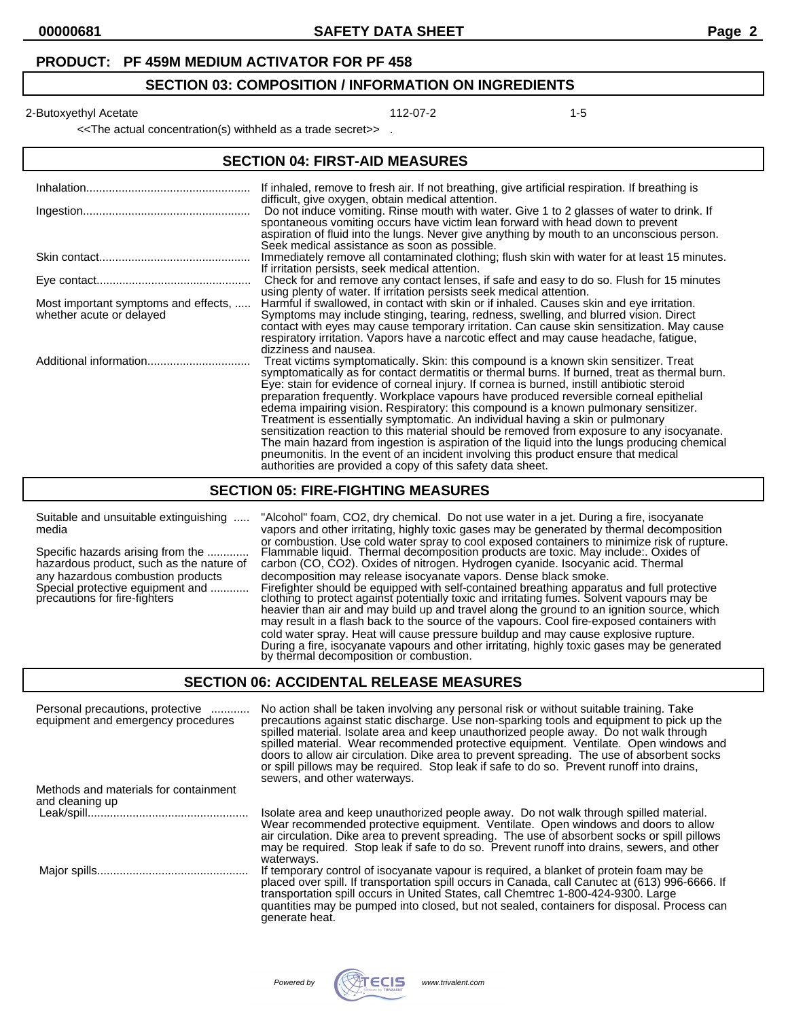#### **PRODUCT: PF 459M MEDIUM ACTIVATOR FOR PF 458**

#### **SECTION 03: COMPOSITION / INFORMATION ON INGREDIENTS**

2-Butoxyethyl Acetate 112-07-2 12-Butoxyethyl Acetate 112-07-2

<<The actual concentration(s) withheld as a trade secret>> .

#### **SECTION 04: FIRST-AID MEASURES**

|                                                                  | If inhaled, remove to fresh air. If not breathing, give artificial respiration. If breathing is<br>difficult, give oxygen, obtain medical attention.                                                                                                                                                                                                                                                                                                                                                                                                                                                                                                                                                                                                                                                                                                                                                     |
|------------------------------------------------------------------|----------------------------------------------------------------------------------------------------------------------------------------------------------------------------------------------------------------------------------------------------------------------------------------------------------------------------------------------------------------------------------------------------------------------------------------------------------------------------------------------------------------------------------------------------------------------------------------------------------------------------------------------------------------------------------------------------------------------------------------------------------------------------------------------------------------------------------------------------------------------------------------------------------|
|                                                                  | Do not induce vomiting. Rinse mouth with water. Give 1 to 2 glasses of water to drink. If<br>spontaneous vomiting occurs have victim lean forward with head down to prevent<br>aspiration of fluid into the lungs. Never give anything by mouth to an unconscious person.<br>Seek medical assistance as soon as possible.                                                                                                                                                                                                                                                                                                                                                                                                                                                                                                                                                                                |
|                                                                  | Immediately remove all contaminated clothing; flush skin with water for at least 15 minutes.<br>If irritation persists, seek medical attention.                                                                                                                                                                                                                                                                                                                                                                                                                                                                                                                                                                                                                                                                                                                                                          |
|                                                                  | Check for and remove any contact lenses, if safe and easy to do so. Flush for 15 minutes<br>using plenty of water. If irritation persists seek medical attention.                                                                                                                                                                                                                                                                                                                                                                                                                                                                                                                                                                                                                                                                                                                                        |
| Most important symptoms and effects,<br>whether acute or delayed | Harmful if swallowed, in contact with skin or if inhaled. Causes skin and eye irritation.<br>Symptoms may include stinging, tearing, redness, swelling, and blurred vision. Direct<br>contact with eyes may cause temporary irritation. Can cause skin sensitization. May cause<br>respiratory irritation. Vapors have a narcotic effect and may cause headache, fatigue,<br>dizziness and nausea.                                                                                                                                                                                                                                                                                                                                                                                                                                                                                                       |
|                                                                  | Treat victims symptomatically. Skin: this compound is a known skin sensitizer. Treat<br>symptomatically as for contact dermatitis or thermal burns. If burned, treat as thermal burn.<br>Eye: stain for evidence of corneal injury. If cornea is burned, instill antibiotic steroid<br>preparation frequently. Workplace vapours have produced reversible corneal epithelial<br>edema impairing vision. Respiratory: this compound is a known pulmonary sensitizer.<br>Treatment is essentially symptomatic. An individual having a skin or pulmonary<br>sensitization reaction to this material should be removed from exposure to any isocyanate.<br>The main hazard from ingestion is aspiration of the liquid into the lungs producing chemical<br>pneumonitis. In the event of an incident involving this product ensure that medical<br>authorities are provided a copy of this safety data sheet. |

### **SECTION 05: FIRE-FIGHTING MEASURES**

Suitable and unsuitable extinguishing ..... "Alcohol" foam, CO2, dry chemical. Do not use water in a jet. During a fire, isocyanate media vapors and other irritating, highly toxic gases may be generated by thermal decomposition or combustion. Use cold water spray to cool exposed containers to minimize risk of rupture. Specific hazards arising from the ............. Flammable liquid. Thermal decomposition products are toxic. May include:. Oxides of Specific hazards arising from the ............. Flammable liquid. Thermal decomposition products are toxic. May include:. Oxides<br>hazardous product, such as the nature of carbon (CO, CO2). Oxides of nitrogen. Hydrogen cyani any hazardous combustion products decomposition may release isocyanate vapors. Dense black smoke.<br>Special protective equipment and ............ Firefighter should be equipped with self-contained breathing apparat Special protective equipment and ............ Firefighter should be equipped with self-contained breathing apparatus and full protective precautions for fire-fighters clothing to protect against potentially toxic and irritating fumes. Solvent vapours may be heavier than air and may build up and travel along the ground to an ignition source, which may result in a flash back to the source of the vapours. Cool fire-exposed containers with cold water spray. Heat will cause pressure buildup and may cause explosive rupture. During a fire, isocyanate vapours and other irritating, highly toxic gases may be generated by thermal decomposition or combustion.

#### **SECTION 06: ACCIDENTAL RELEASE MEASURES**

| Personal precautions, protective<br>equipment and emergency procedures | No action shall be taken involving any personal risk or without suitable training. Take<br>precautions against static discharge. Use non-sparking tools and equipment to pick up the<br>spilled material. Isolate area and keep unauthorized people away. Do not walk through<br>spilled material. Wear recommended protective equipment. Ventilate. Open windows and<br>doors to allow air circulation. Dike area to prevent spreading. The use of absorbent socks<br>or spill pillows may be required. Stop leak if safe to do so. Prevent runoff into drains,<br>sewers, and other waterways. |
|------------------------------------------------------------------------|--------------------------------------------------------------------------------------------------------------------------------------------------------------------------------------------------------------------------------------------------------------------------------------------------------------------------------------------------------------------------------------------------------------------------------------------------------------------------------------------------------------------------------------------------------------------------------------------------|
| Methods and materials for containment                                  |                                                                                                                                                                                                                                                                                                                                                                                                                                                                                                                                                                                                  |
| and cleaning up                                                        |                                                                                                                                                                                                                                                                                                                                                                                                                                                                                                                                                                                                  |
|                                                                        | Isolate area and keep unauthorized people away. Do not walk through spilled material.<br>Wear recommended protective equipment. Ventilate. Open windows and doors to allow<br>air circulation. Dike area to prevent spreading. The use of absorbent socks or spill pillows<br>may be required. Stop leak if safe to do so. Prevent runoff into drains, sewers, and other<br>waterways.                                                                                                                                                                                                           |
|                                                                        | If temporary control of isocyanate vapour is required, a blanket of protein foam may be<br>placed over spill. If transportation spill occurs in Canada, call Canutec at (613) 996-6666. If<br>transportation spill occurs in United States, call Chemtrec 1-800-424-9300. Large<br>quantities may be pumped into closed, but not sealed, containers for disposal. Process can<br>generate heat.                                                                                                                                                                                                  |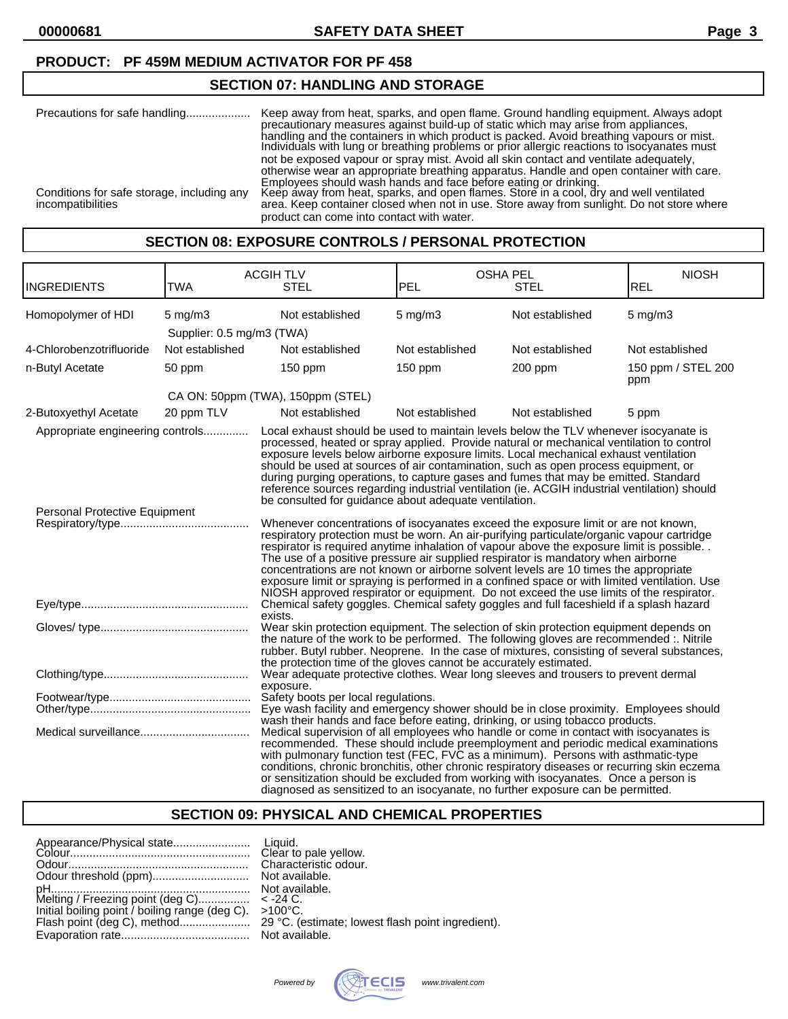### **PRODUCT: PF 459M MEDIUM ACTIVATOR FOR PF 458**

### **SECTION 07: HANDLING AND STORAGE**

| Precautions for safe handling                                   | Keep away from heat, sparks, and open flame. Ground handling equipment. Always adopt<br>precautionary measures against build-up of static which may arise from appliances.<br>handling and the containers in which product is packed. Avoid breathing vapours or mist.<br>Individuals with lung or breathing problems or prior allergic reactions to isocyanates must<br>not be exposed vapour or spray mist. Avoid all skin contact and ventilate adequately,<br>otherwise wear an appropriate breathing apparatus. Handle and open container with care. |
|-----------------------------------------------------------------|-----------------------------------------------------------------------------------------------------------------------------------------------------------------------------------------------------------------------------------------------------------------------------------------------------------------------------------------------------------------------------------------------------------------------------------------------------------------------------------------------------------------------------------------------------------|
| Conditions for safe storage, including any<br>incompatibilities | Employees should wash hands and face before eating or drinking.<br>Keep away from heat, sparks, and open flames. Store in a cool, dry and well ventilated<br>area. Keep container closed when not in use. Store away from sunlight. Do not store where<br>product can come into contact with water.                                                                                                                                                                                                                                                       |

#### **SECTION 08: EXPOSURE CONTROLS / PERSONAL PROTECTION**

| <b>INGREDIENTS</b>                                                | <b>TWA</b>                                      | <b>ACGIHTLV</b><br><b>STEL</b>                                                                                                                                                                                                                                                                                                                                                                                                                                                                                                                                                                                                                        | <b>OSHA PEL</b><br>PEL | <b>STEL</b>     | <b>NIOSH</b><br>REL       |
|-------------------------------------------------------------------|-------------------------------------------------|-------------------------------------------------------------------------------------------------------------------------------------------------------------------------------------------------------------------------------------------------------------------------------------------------------------------------------------------------------------------------------------------------------------------------------------------------------------------------------------------------------------------------------------------------------------------------------------------------------------------------------------------------------|------------------------|-----------------|---------------------------|
| Homopolymer of HDI                                                | $5 \text{ mg/m}$ 3<br>Supplier: 0.5 mg/m3 (TWA) | Not established                                                                                                                                                                                                                                                                                                                                                                                                                                                                                                                                                                                                                                       | $5$ mg/m $3$           | Not established | $5 \text{ mg/m}$          |
| 4-Chlorobenzotrifluoride                                          | Not established                                 | Not established                                                                                                                                                                                                                                                                                                                                                                                                                                                                                                                                                                                                                                       | Not established        | Not established | Not established           |
| n-Butyl Acetate                                                   | 50 ppm                                          | $150$ ppm                                                                                                                                                                                                                                                                                                                                                                                                                                                                                                                                                                                                                                             | $150$ ppm              | 200 ppm         | 150 ppm / STEL 200<br>ppm |
|                                                                   |                                                 | CA ON: 50ppm (TWA), 150ppm (STEL)                                                                                                                                                                                                                                                                                                                                                                                                                                                                                                                                                                                                                     |                        |                 |                           |
| 2-Butoxyethyl Acetate                                             | 20 ppm TLV                                      | Not established                                                                                                                                                                                                                                                                                                                                                                                                                                                                                                                                                                                                                                       | Not established        | Not established | 5 ppm                     |
| Appropriate engineering controls<br>Personal Protective Equipment |                                                 | Local exhaust should be used to maintain levels below the TLV whenever isocyanate is<br>processed, heated or spray applied. Provide natural or mechanical ventilation to control<br>exposure levels below airborne exposure limits. Local mechanical exhaust ventilation<br>should be used at sources of air contamination, such as open process equipment, or<br>during purging operations, to capture gases and fumes that may be emitted. Standard<br>reference sources regarding industrial ventilation (ie. ACGIH industrial ventilation) should<br>be consulted for guidance about adequate ventilation.                                        |                        |                 |                           |
|                                                                   |                                                 | Whenever concentrations of isocyanates exceed the exposure limit or are not known,<br>respiratory protection must be worn. An air-purifying particulate/organic vapour cartridge<br>respirator is required anytime inhalation of vapour above the exposure limit is possible.<br>The use of a positive pressure air supplied respirator is mandatory when airborne<br>concentrations are not known or airborne solvent levels are 10 times the appropriate<br>exposure limit or spraying is performed in a confined space or with limited ventilation. Use<br>NIOSH approved respirator or equipment. Do not exceed the use limits of the respirator. |                        |                 |                           |
|                                                                   |                                                 | Chemical safety goggles. Chemical safety goggles and full faceshield if a splash hazard<br>exists.                                                                                                                                                                                                                                                                                                                                                                                                                                                                                                                                                    |                        |                 |                           |
|                                                                   |                                                 | Wear skin protection equipment. The selection of skin protection equipment depends on<br>the nature of the work to be performed. The following gloves are recommended :. Nitrile<br>rubber. Butyl rubber. Neoprene. In the case of mixtures, consisting of several substances,<br>the protection time of the gloves cannot be accurately estimated.                                                                                                                                                                                                                                                                                                   |                        |                 |                           |
|                                                                   |                                                 | Wear adequate protective clothes. Wear long sleeves and trousers to prevent dermal<br>exposure.                                                                                                                                                                                                                                                                                                                                                                                                                                                                                                                                                       |                        |                 |                           |
|                                                                   |                                                 | Safety boots per local regulations.<br>Eye wash facility and emergency shower should be in close proximity. Employees should<br>wash their hands and face before eating, drinking, or using tobacco products.                                                                                                                                                                                                                                                                                                                                                                                                                                         |                        |                 |                           |
|                                                                   |                                                 | Medical supervision of all employees who handle or come in contact with isocyanates is<br>recommended. These should include preemployment and periodic medical examinations<br>with pulmonary function test (FEC, FVC as a minimum). Persons with asthmatic-type<br>conditions, chronic bronchitis, other chronic respiratory diseases or recurring skin eczema<br>or sensitization should be excluded from working with isocyanates. Once a person is<br>diagnosed as sensitized to an isocyanate, no further exposure can be permitted.                                                                                                             |                        |                 |                           |

### **SECTION 09: PHYSICAL AND CHEMICAL PROPERTIES**

Powered by **WATECIS** www.trivalent.com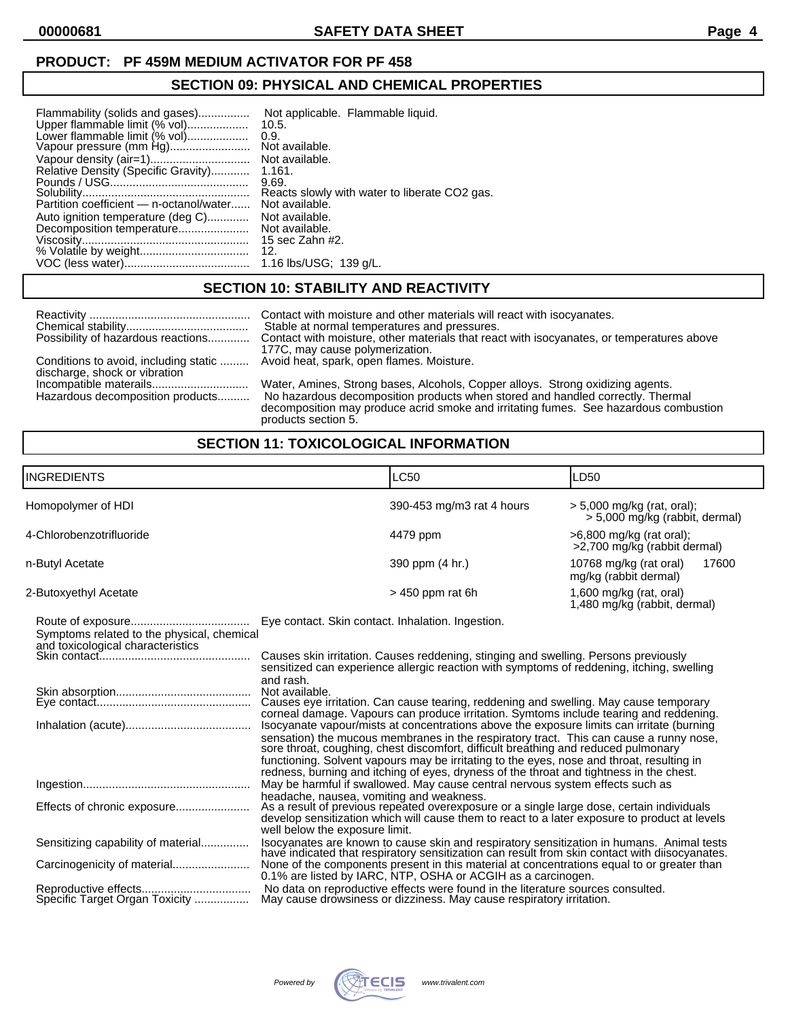### **PRODUCT: PF 459M MEDIUM ACTIVATOR FOR PF 458**

## **SECTION 09: PHYSICAL AND CHEMICAL PROPERTIES**

| Flammability (solids and gases)<br>Upper flammable limit (% vol)<br>Lower flammable limit (% vol)<br>Relative Density (Specific Gravity)<br>Partition coefficient — n-octanol/water<br>Auto ignition temperature (deg C)<br>Decomposition temperature | Not applicable. Flammable liquid.<br>10.5.<br>0.9.<br>Not available.<br>Not available.<br>1.161.<br>9.69.<br>Reacts slowly with water to liberate CO2 gas.<br>Not available.<br>Not available.<br>Not available.<br>15 sec Zahn #2. |
|-------------------------------------------------------------------------------------------------------------------------------------------------------------------------------------------------------------------------------------------------------|-------------------------------------------------------------------------------------------------------------------------------------------------------------------------------------------------------------------------------------|
|                                                                                                                                                                                                                                                       | 12.                                                                                                                                                                                                                                 |
|                                                                                                                                                                                                                                                       | 1.16 lbs/USG; 139 q/L.                                                                                                                                                                                                              |

# **SECTION 10: STABILITY AND REACTIVITY**

| Possibility of hazardous reactions                                     | Contact with moisture and other materials will react with isocyanates.<br>Stable at normal temperatures and pressures.<br>Contact with moisture, other materials that react with isocyanates, or temperatures above<br>177C, may cause polymerization.                          |
|------------------------------------------------------------------------|---------------------------------------------------------------------------------------------------------------------------------------------------------------------------------------------------------------------------------------------------------------------------------|
| Conditions to avoid, including static<br>discharge, shock or vibration | Avoid heat, spark, open flames. Moisture.                                                                                                                                                                                                                                       |
| Incompatible materails<br>Hazardous decomposition products             | Water, Amines, Strong bases, Alcohols, Copper alloys. Strong oxidizing agents.<br>No hazardous decomposition products when stored and handled correctly. Thermal<br>decomposition may produce acrid smoke and irritating fumes. See hazardous combustion<br>products section 5. |

# **SECTION 11: TOXICOLOGICAL INFORMATION**

| <b>INGREDIENTS</b>                                                   | <b>LC50</b>                                                                                                                                                                                                                                                                                                                                                                                                                                                                                                                                                                                                                                                                                                                                                                                                                                                                                                               | LD50                                                         |  |
|----------------------------------------------------------------------|---------------------------------------------------------------------------------------------------------------------------------------------------------------------------------------------------------------------------------------------------------------------------------------------------------------------------------------------------------------------------------------------------------------------------------------------------------------------------------------------------------------------------------------------------------------------------------------------------------------------------------------------------------------------------------------------------------------------------------------------------------------------------------------------------------------------------------------------------------------------------------------------------------------------------|--------------------------------------------------------------|--|
| Homopolymer of HDI                                                   | 390-453 mg/m3 rat 4 hours                                                                                                                                                                                                                                                                                                                                                                                                                                                                                                                                                                                                                                                                                                                                                                                                                                                                                                 | > 5,000 mg/kg (rat, oral);<br>> 5,000 mg/kg (rabbit, dermal) |  |
| 4-Chlorobenzotrifluoride                                             | 4479 ppm                                                                                                                                                                                                                                                                                                                                                                                                                                                                                                                                                                                                                                                                                                                                                                                                                                                                                                                  | $>6,800$ mg/kg (rat oral);<br>>2,700 mg/kg (rabbit dermal)   |  |
| n-Butyl Acetate                                                      | 390 ppm (4 hr.)                                                                                                                                                                                                                                                                                                                                                                                                                                                                                                                                                                                                                                                                                                                                                                                                                                                                                                           | 10768 mg/kg (rat oral)<br>17600<br>mg/kg (rabbit dermal)     |  |
| 2-Butoxyethyl Acetate                                                | $>450$ ppm rat 6h                                                                                                                                                                                                                                                                                                                                                                                                                                                                                                                                                                                                                                                                                                                                                                                                                                                                                                         | 1,600 mg/kg (rat, oral)<br>1,480 mg/kg (rabbit, dermal)      |  |
| Symptoms related to the physical, chemical                           | Eye contact. Skin contact. Inhalation. Ingestion.<br>Causes skin irritation. Causes reddening, stinging and swelling. Persons previously<br>sensitized can experience allergic reaction with symptoms of reddening, itching, swelling<br>and rash.<br>Not available.<br>Causes eye irritation. Can cause tearing, reddening and swelling. May cause temporary<br>corneal damage. Vapours can produce irritation. Symtoms include tearing and reddening.<br>Isocyanate vapour/mists at concentrations above the exposure limits can irritate (burning<br>sensation) the mucous membranes in the respiratory tract. This can cause a runny nose, sore throat, coughing, chest discomfort, difficult breathing and reduced pulmonary<br>functioning. Solvent vapours may be irritating to the eyes, nose and throat, resulting in<br>redness, burning and itching of eyes, dryness of the throat and tightness in the chest. |                                                              |  |
| Effects of chronic exposure                                          | May be harmful if swallowed. May cause central nervous system effects such as<br>headache, nausea, vomiting and weakness.<br>As a result of previous repeated overexposure or a single large dose, certain individuals<br>develop sensitization which will cause them to react to a later exposure to product at levels<br>well below the exposure limit.                                                                                                                                                                                                                                                                                                                                                                                                                                                                                                                                                                 |                                                              |  |
| Sensitizing capability of material<br>Specific Target Organ Toxicity | Isocyanates are known to cause skin and respiratory sensitization in humans. Animal tests<br>have indicated that respiratory sensitization can result from skin contact with diisocyanates.<br>None of the components present in this material at concentrations equal to or greater than<br>0.1% are listed by IARC, NTP, OSHA or ACGIH as a carcinogen.<br>No data on reproductive effects were found in the literature sources consulted.<br>May cause drowsiness or dizziness. May cause respiratory irritation.                                                                                                                                                                                                                                                                                                                                                                                                      |                                                              |  |